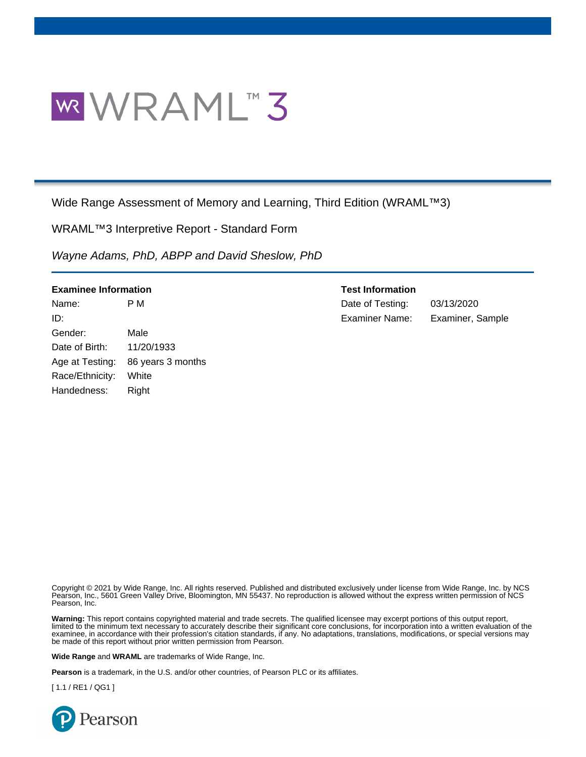

Wide Range Assessment of Memory and Learning, Third Edition (WRAML™3)

WRAML™3 Interpretive Report - Standard Form

*Wayne Adams, PhD, ABPP and David Sheslow, PhD*

| <b>Examinee Information</b> |                   | <b>Test Information</b> |                  |  |  |
|-----------------------------|-------------------|-------------------------|------------------|--|--|
| Name:                       | P M               | Date of Testing:        | 03/13/2020       |  |  |
| ID:                         |                   | <b>Examiner Name:</b>   | Examiner, Sample |  |  |
| Gender:                     | Male              |                         |                  |  |  |
| Date of Birth:              | 11/20/1933        |                         |                  |  |  |
| Age at Testing:             | 86 years 3 months |                         |                  |  |  |
| Race/Ethnicity:             | White             |                         |                  |  |  |
| Handedness:                 | Right             |                         |                  |  |  |

Copyright © 2021 by Wide Range, Inc. All rights reserved. Published and distributed exclusively under license from Wide Range, Inc. by NCS Pearson, Inc., 5601 Green Valley Drive, Bloomington, MN 55437. No reproduction is allowed without the express written permission of NCS Pearson, Inc.

**Warning:** This report contains copyrighted material and trade secrets. The qualified licensee may excerpt portions of this output report, limited to the minimum text necessary to accurately describe their significant core conclusions, for incorporation into a written evaluation of the examinee, in accordance with their profession's citation standards, if any. No adaptations, translations, modifications, or special versions may be made of this report without prior written permission from Pearson.

**Wide Range** and **WRAML** are trademarks of Wide Range, Inc.

**Pearson** is a trademark, in the U.S. and/or other countries, of Pearson PLC or its affiliates.

[ 1.1 / RE1 / QG1 ]

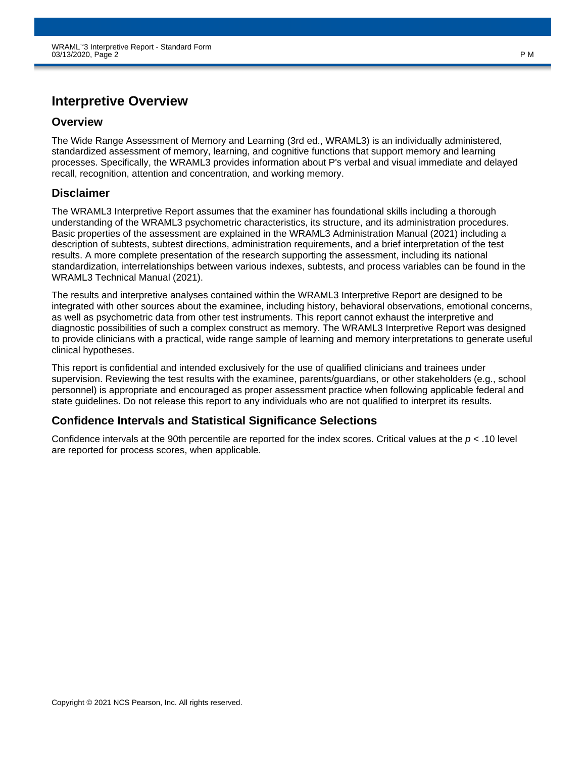# **Interpretive Overview**

### **Overview**

The Wide Range Assessment of Memory and Learning (3rd ed., WRAML3) is an individually administered, standardized assessment of memory, learning, and cognitive functions that support memory and learning processes. Specifically, the WRAML3 provides information about P's verbal and visual immediate and delayed recall, recognition, attention and concentration, and working memory.

### **Disclaimer**

The WRAML3 Interpretive Report assumes that the examiner has foundational skills including a thorough understanding of the WRAML3 psychometric characteristics, its structure, and its administration procedures. Basic properties of the assessment are explained in the WRAML3 Administration Manual (2021) including a description of subtests, subtest directions, administration requirements, and a brief interpretation of the test results. A more complete presentation of the research supporting the assessment, including its national standardization, interrelationships between various indexes, subtests, and process variables can be found in the WRAML3 Technical Manual (2021).

The results and interpretive analyses contained within the WRAML3 Interpretive Report are designed to be integrated with other sources about the examinee, including history, behavioral observations, emotional concerns, as well as psychometric data from other test instruments. This report cannot exhaust the interpretive and diagnostic possibilities of such a complex construct as memory. The WRAML3 Interpretive Report was designed to provide clinicians with a practical, wide range sample of learning and memory interpretations to generate useful clinical hypotheses.

This report is confidential and intended exclusively for the use of qualified clinicians and trainees under supervision. Reviewing the test results with the examinee, parents/guardians, or other stakeholders (e.g., school personnel) is appropriate and encouraged as proper assessment practice when following applicable federal and state guidelines. Do not release this report to any individuals who are not qualified to interpret its results.

### **Confidence Intervals and Statistical Significance Selections**

Confidence intervals at the 90th percentile are reported for the index scores. Critical values at the *p* < .10 level are reported for process scores, when applicable.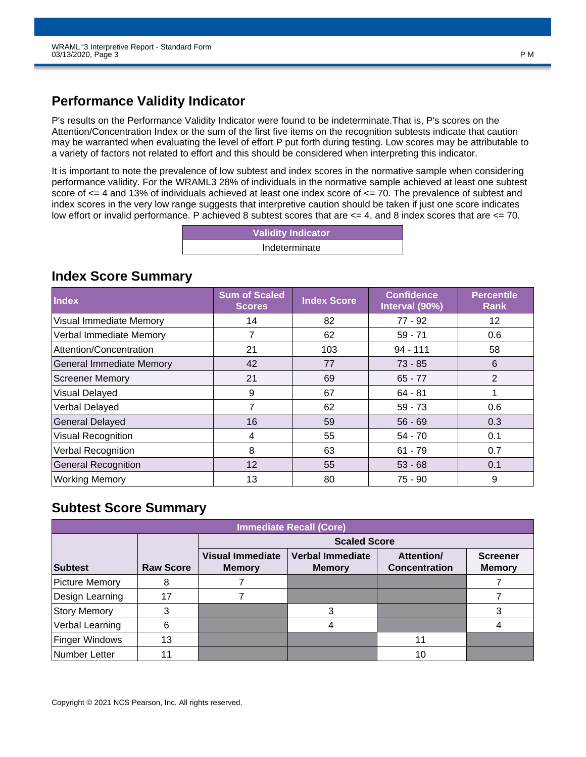# **Performance Validity Indicator**

P's results on the Performance Validity Indicator were found to be indeterminate.That is, P's scores on the Attention/Concentration Index or the sum of the first five items on the recognition subtests indicate that caution may be warranted when evaluating the level of effort P put forth during testing. Low scores may be attributable to a variety of factors not related to effort and this should be considered when interpreting this indicator.

It is important to note the prevalence of low subtest and index scores in the normative sample when considering performance validity. For the WRAML3 28% of individuals in the normative sample achieved at least one subtest score of <= 4 and 13% of individuals achieved at least one index score of <= 70. The prevalence of subtest and index scores in the very low range suggests that interpretive caution should be taken if just one score indicates low effort or invalid performance. P achieved 8 subtest scores that are <= 4, and 8 index scores that are <= 70.

| <b>Validity Indicator</b> |
|---------------------------|
| Indeterminate             |

### **Index Score Summary**

| <b>Index</b>                    | <b>Sum of Scaled</b><br><b>Scores</b> | <b>Index Score</b> | <b>Confidence</b><br>Interval (90%) | <b>Percentile</b><br>Rank |
|---------------------------------|---------------------------------------|--------------------|-------------------------------------|---------------------------|
| <b>Visual Immediate Memory</b>  | 14                                    | 82                 | $77 - 92$                           | 12                        |
| Verbal Immediate Memory         | 7                                     | 62                 | $59 - 71$                           | 0.6                       |
| Attention/Concentration         | 21                                    | 103                | $94 - 111$                          | 58                        |
| <b>General Immediate Memory</b> | 42                                    | 77                 | $73 - 85$                           | 6                         |
| <b>Screener Memory</b>          | 21                                    | 69                 | $65 - 77$                           | $\overline{2}$            |
| Visual Delayed                  | 9                                     | 67                 | $64 - 81$                           |                           |
| Verbal Delayed                  | 7                                     | 62                 | $59 - 73$                           | 0.6                       |
| <b>General Delayed</b>          | 16                                    | 59                 | $56 - 69$                           | 0.3                       |
| Visual Recognition              | 4                                     | 55                 | 54 - 70                             | 0.1                       |
| Verbal Recognition              | 8                                     | 63                 | $61 - 79$                           | 0.7                       |
| <b>General Recognition</b>      | 12                                    | 55                 | $53 - 68$                           | 0.1                       |
| <b>Working Memory</b>           | 13                                    | 80                 | 75 - 90                             | 9                         |

# **Subtest Score Summary**

| <b>Immediate Recall (Core)</b> |                  |                                          |                                          |                                           |                                  |  |  |  |  |  |  |  |  |
|--------------------------------|------------------|------------------------------------------|------------------------------------------|-------------------------------------------|----------------------------------|--|--|--|--|--|--|--|--|
|                                |                  | <b>Scaled Score</b>                      |                                          |                                           |                                  |  |  |  |  |  |  |  |  |
| <b>Subtest</b>                 | <b>Raw Score</b> | <b>Visual Immediate</b><br><b>Memory</b> | <b>Verbal Immediate</b><br><b>Memory</b> | <b>Attention/</b><br><b>Concentration</b> | <b>Screener</b><br><b>Memory</b> |  |  |  |  |  |  |  |  |
| <b>Picture Memory</b>          | 8                |                                          |                                          |                                           |                                  |  |  |  |  |  |  |  |  |
| Design Learning                | 17               |                                          |                                          |                                           |                                  |  |  |  |  |  |  |  |  |
| <b>Story Memory</b>            | 3                |                                          |                                          |                                           |                                  |  |  |  |  |  |  |  |  |
| Verbal Learning                | 6                |                                          |                                          |                                           |                                  |  |  |  |  |  |  |  |  |
| <b>Finger Windows</b>          | 13               |                                          |                                          | 11                                        |                                  |  |  |  |  |  |  |  |  |
| Number Letter                  |                  |                                          |                                          | 10                                        |                                  |  |  |  |  |  |  |  |  |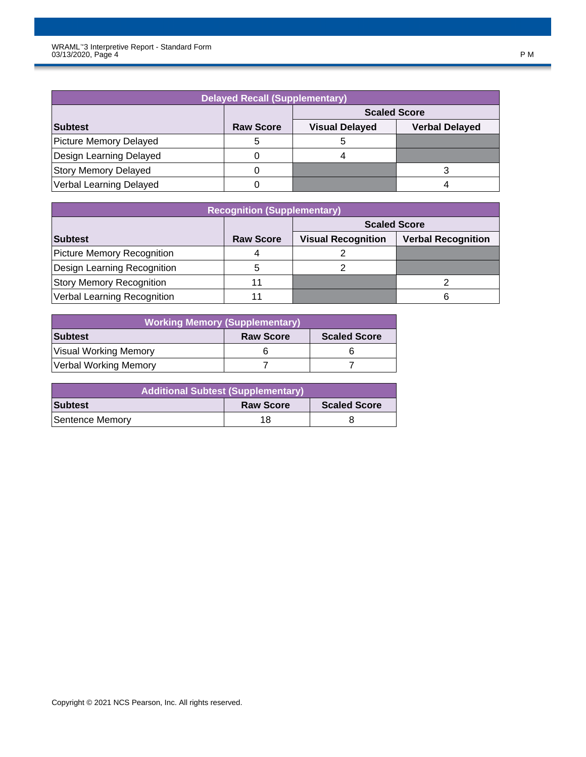| <b>Delayed Recall (Supplementary)</b> |                  |                       |                       |  |  |  |  |  |  |  |  |
|---------------------------------------|------------------|-----------------------|-----------------------|--|--|--|--|--|--|--|--|
| <b>Scaled Score</b>                   |                  |                       |                       |  |  |  |  |  |  |  |  |
| Subtest                               | <b>Raw Score</b> | <b>Visual Delayed</b> | <b>Verbal Delayed</b> |  |  |  |  |  |  |  |  |
| Picture Memory Delayed                |                  |                       |                       |  |  |  |  |  |  |  |  |
| Design Learning Delayed               |                  |                       |                       |  |  |  |  |  |  |  |  |
| <b>Story Memory Delayed</b>           |                  |                       |                       |  |  |  |  |  |  |  |  |
| Verbal Learning Delayed               |                  |                       |                       |  |  |  |  |  |  |  |  |

| <b>Recognition (Supplementary)</b> |                  |                           |                           |  |  |  |  |  |  |  |  |
|------------------------------------|------------------|---------------------------|---------------------------|--|--|--|--|--|--|--|--|
| <b>Scaled Score</b>                |                  |                           |                           |  |  |  |  |  |  |  |  |
| Subtest                            | <b>Raw Score</b> | <b>Visual Recognition</b> | <b>Verbal Recognition</b> |  |  |  |  |  |  |  |  |
| Picture Memory Recognition         |                  |                           |                           |  |  |  |  |  |  |  |  |
| Design Learning Recognition        | 5                |                           |                           |  |  |  |  |  |  |  |  |
| <b>Story Memory Recognition</b>    | 11               |                           |                           |  |  |  |  |  |  |  |  |
| Verbal Learning Recognition        | 11               |                           | 6                         |  |  |  |  |  |  |  |  |

| <b>Working Memory (Supplementary)</b> |                  |                     |  |  |  |  |  |  |  |  |
|---------------------------------------|------------------|---------------------|--|--|--|--|--|--|--|--|
| <b>Subtest</b>                        | <b>Raw Score</b> | <b>Scaled Score</b> |  |  |  |  |  |  |  |  |
| Visual Working Memory                 |                  |                     |  |  |  |  |  |  |  |  |
| Verbal Working Memory                 |                  |                     |  |  |  |  |  |  |  |  |

| <b>Additional Subtest (Supplementary)</b> |                  |                     |  |  |  |  |  |  |  |
|-------------------------------------------|------------------|---------------------|--|--|--|--|--|--|--|
| <b>Subtest</b>                            | <b>Raw Score</b> | <b>Scaled Score</b> |  |  |  |  |  |  |  |
| Sentence Memory                           | 18               |                     |  |  |  |  |  |  |  |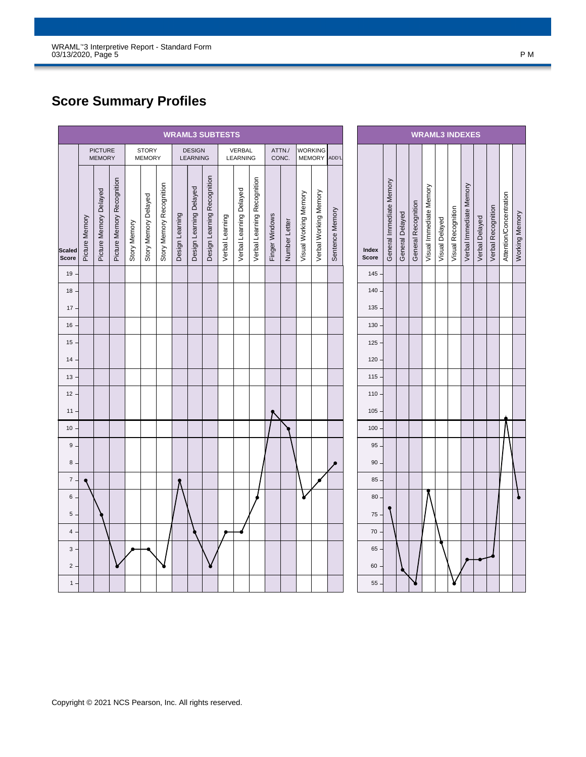# **Score Summary Profiles**

|                        | <b>WRAML3 SUBTESTS</b> |                                 |                            |              |                               |                          |                 |                           |                             |                 |                           |                             |                |                 |                       |                                 |                 |
|------------------------|------------------------|---------------------------------|----------------------------|--------------|-------------------------------|--------------------------|-----------------|---------------------------|-----------------------------|-----------------|---------------------------|-----------------------------|----------------|-----------------|-----------------------|---------------------------------|-----------------|
|                        |                        | <b>PICTURE</b><br><b>MEMORY</b> |                            |              | <b>STORY</b><br><b>MEMORY</b> |                          |                 | <b>DESIGN</b><br>LEARNING |                             |                 | <b>VERBAL</b><br>LEARNING |                             |                | ATTN./<br>CONC. |                       | <b>WORKING</b><br><b>MEMORY</b> | ADD'L           |
| <b>Scaled</b><br>Score | Picture Memory         | Picture Memory Delayed          | Picture Memory Recognition | Story Memory | Story Memory Delayed          | Story Memory Recognition | Design Learning | Design Learning Delayed   | Design Learning Recognition | Verbal Learning | Verbal Learning Delayed   | Verbal Learning Recognition | Finger Windows | Number Letter   | Visual Working Memory | Verbal Working Memory           | Sentence Memory |
| $19 -$                 |                        |                                 |                            |              |                               |                          |                 |                           |                             |                 |                           |                             |                |                 |                       |                                 |                 |
| $18 -$                 |                        |                                 |                            |              |                               |                          |                 |                           |                             |                 |                           |                             |                |                 |                       |                                 |                 |
| 17.                    |                        |                                 |                            |              |                               |                          |                 |                           |                             |                 |                           |                             |                |                 |                       |                                 |                 |
| $16 -$                 |                        |                                 |                            |              |                               |                          |                 |                           |                             |                 |                           |                             |                |                 |                       |                                 |                 |
| $15 -$                 |                        |                                 |                            |              |                               |                          |                 |                           |                             |                 |                           |                             |                |                 |                       |                                 |                 |
| 14.                    |                        |                                 |                            |              |                               |                          |                 |                           |                             |                 |                           |                             |                |                 |                       |                                 |                 |
| $13 -$                 |                        |                                 |                            |              |                               |                          |                 |                           |                             |                 |                           |                             |                |                 |                       |                                 |                 |
| 12                     |                        |                                 |                            |              |                               |                          |                 |                           |                             |                 |                           |                             |                |                 |                       |                                 |                 |
| 11.                    |                        |                                 |                            |              |                               |                          |                 |                           |                             |                 |                           |                             |                |                 |                       |                                 |                 |
| 10 <sup>1</sup>        |                        |                                 |                            |              |                               |                          |                 |                           |                             |                 |                           |                             |                |                 |                       |                                 |                 |
| $9$ $\cdot$<br>8       |                        |                                 |                            |              |                               |                          |                 |                           |                             |                 |                           |                             |                |                 |                       |                                 |                 |
| $\overline{7}$         |                        |                                 |                            |              |                               |                          |                 |                           |                             |                 |                           |                             |                |                 |                       |                                 |                 |
| 6                      |                        |                                 |                            |              |                               |                          |                 |                           |                             |                 |                           |                             |                |                 |                       |                                 |                 |
| $5 -$                  |                        |                                 |                            |              |                               |                          |                 |                           |                             |                 |                           |                             |                |                 |                       |                                 |                 |
| 4                      |                        |                                 |                            |              |                               |                          |                 |                           |                             |                 |                           |                             |                |                 |                       |                                 |                 |
| 3                      |                        |                                 |                            |              |                               |                          |                 |                           |                             |                 |                           |                             |                |                 |                       |                                 |                 |
| $\overline{2}$         |                        |                                 |                            |              |                               |                          |                 |                           |                             |                 |                           |                             |                |                 |                       |                                 |                 |
| 1                      |                        |                                 |                            |              |                               |                          |                 |                           |                             |                 |                           |                             |                |                 |                       |                                 |                 |

| <b>WRAML3 INDEXES</b> |                          |                 |                     |                         |                |                    |                         |                |                    |                         |                |
|-----------------------|--------------------------|-----------------|---------------------|-------------------------|----------------|--------------------|-------------------------|----------------|--------------------|-------------------------|----------------|
| Index<br>Score        | General Immediate Memory | General Delayed | General Recognition | Visual Immediate Memory | Visual Delayed | Visual Recognition | Verbal Immediate Memory | Verbal Delayed | Verbal Recognition | Attention/Concentration | Working Memory |
| 145                   |                          |                 |                     |                         |                |                    |                         |                |                    |                         |                |
| 140                   |                          |                 |                     |                         |                |                    |                         |                |                    |                         |                |
| 135                   |                          |                 |                     |                         |                |                    |                         |                |                    |                         |                |
| 130                   |                          |                 |                     |                         |                |                    |                         |                |                    |                         |                |
| 125                   |                          |                 |                     |                         |                |                    |                         |                |                    |                         |                |
| 120                   |                          |                 |                     |                         |                |                    |                         |                |                    |                         |                |
| 115                   |                          |                 |                     |                         |                |                    |                         |                |                    |                         |                |
| 110                   |                          |                 |                     |                         |                |                    |                         |                |                    |                         |                |
| 105                   |                          |                 |                     |                         |                |                    |                         |                |                    |                         |                |
| 100                   |                          |                 |                     |                         |                |                    |                         |                |                    |                         |                |
| 95                    |                          |                 |                     |                         |                |                    |                         |                |                    |                         |                |
| 90                    |                          |                 |                     |                         |                |                    |                         |                |                    |                         |                |
| 85                    |                          |                 |                     |                         |                |                    |                         |                |                    |                         |                |
| 80                    |                          |                 |                     |                         |                |                    |                         |                |                    |                         |                |
| 75                    |                          |                 |                     |                         |                |                    |                         |                |                    |                         |                |
| 70                    |                          |                 |                     |                         |                |                    |                         |                |                    |                         |                |
| 65                    |                          |                 |                     |                         |                |                    |                         |                |                    |                         |                |
| 60                    |                          |                 |                     |                         |                |                    |                         |                |                    |                         |                |
| 55                    |                          |                 |                     |                         |                |                    |                         |                |                    |                         |                |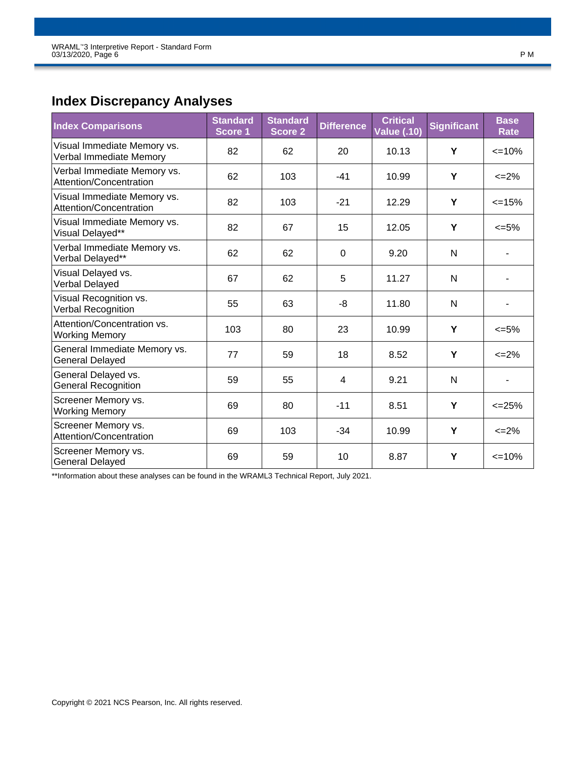# **Index Discrepancy Analyses**

| <b>Index Comparisons</b>                               | <b>Standard</b><br>Score 1 | <b>Standard</b><br><b>Score 2</b> | <b>Difference</b> | <b>Critical</b><br><b>Value (.10)</b> | <b>Significant</b> | <b>Base</b><br>Rate      |
|--------------------------------------------------------|----------------------------|-----------------------------------|-------------------|---------------------------------------|--------------------|--------------------------|
| Visual Immediate Memory vs.<br>Verbal Immediate Memory | 82                         | 62                                | 20                | 10.13                                 | Y                  | $\leq$ 10%               |
| Verbal Immediate Memory vs.<br>Attention/Concentration | 62                         | 103                               | $-41$             | 10.99                                 | Y                  | $\leq$ 2%                |
| Visual Immediate Memory vs.<br>Attention/Concentration | 82                         | 103                               | $-21$             | 12.29                                 | Y                  | $\leq$ 15%               |
| Visual Immediate Memory vs.<br>Visual Delayed**        | 82                         | 67                                | 15                | 12.05                                 | Y                  | $<=5\%$                  |
| Verbal Immediate Memory vs.<br>Verbal Delayed**        | 62                         | 62                                | $\Omega$          | 9.20                                  | N                  |                          |
| Visual Delayed vs.<br>Verbal Delayed                   | 67                         | 62                                | 5                 | 11.27                                 | N                  |                          |
| Visual Recognition vs.<br><b>Verbal Recognition</b>    | 55                         | 63                                | -8                | 11.80                                 | N                  | $\blacksquare$           |
| Attention/Concentration vs.<br><b>Working Memory</b>   | 103                        | 80                                | 23                | 10.99                                 | Y                  | $<=5\%$                  |
| General Immediate Memory vs.<br><b>General Delayed</b> | 77                         | 59                                | 18                | 8.52                                  | Y                  | $\leq$ 2%                |
| General Delayed vs.<br><b>General Recognition</b>      | 59                         | 55                                | 4                 | 9.21                                  | N                  | $\overline{\phantom{0}}$ |
| Screener Memory vs.<br><b>Working Memory</b>           | 69                         | 80                                | $-11$             | 8.51                                  | Y                  | $<=25%$                  |
| Screener Memory vs.<br>Attention/Concentration         | 69                         | 103                               | $-34$             | 10.99                                 | Y                  | $\leq$ 2%                |
| Screener Memory vs.<br><b>General Delayed</b>          | 69                         | 59                                | 10                | 8.87                                  | Y                  | $\leq$ 10%               |

\*\*Information about these analyses can be found in the WRAML3 Technical Report, July 2021.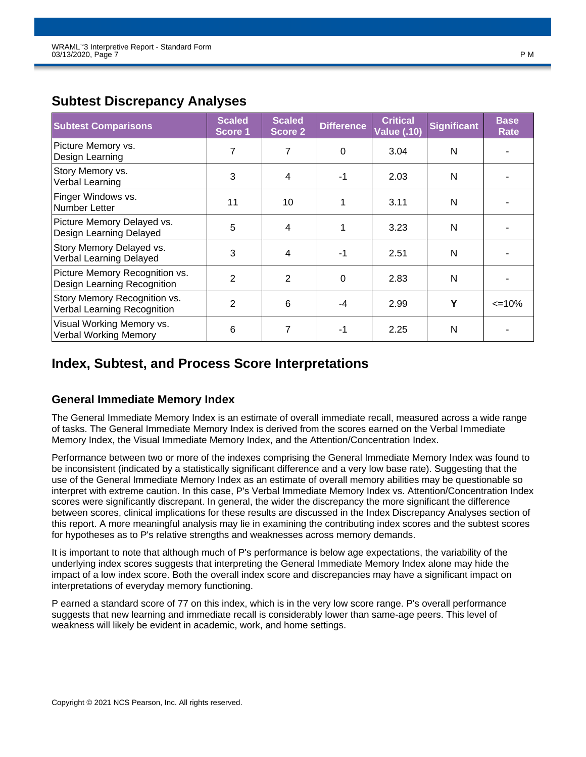| <b>Subtest Comparisons</b>                                    | <b>Scaled</b><br>Score 1 | <b>Scaled</b><br><b>Score 2</b> | <b>Difference</b> | <b>Critical</b><br><b>Value (.10)</b> | <b>Significant</b> | <b>Base</b><br>Rate |
|---------------------------------------------------------------|--------------------------|---------------------------------|-------------------|---------------------------------------|--------------------|---------------------|
| Picture Memory vs.<br>Design Learning                         | 7                        | 7                               | 0                 | 3.04                                  | N                  |                     |
| Story Memory vs.<br>Verbal Learning                           | 3                        | $\overline{4}$                  | $-1$              | 2.03                                  | N                  |                     |
| Finger Windows vs.<br>Number Letter                           | 11                       | 10                              |                   | 3.11                                  | N                  |                     |
| Picture Memory Delayed vs.<br>Design Learning Delayed         | 5                        | $\overline{4}$                  |                   | 3.23                                  | N                  |                     |
| Story Memory Delayed vs.<br>Verbal Learning Delayed           | 3                        | $\overline{4}$                  | $-1$              | 2.51                                  | N                  |                     |
| Picture Memory Recognition vs.<br>Design Learning Recognition | $\overline{2}$           | 2                               | $\Omega$          | 2.83                                  | N                  |                     |
| Story Memory Recognition vs.<br>Verbal Learning Recognition   | 2                        | 6                               | -4                | 2.99                                  | Υ                  | $\leq$ 10%          |
| Visual Working Memory vs.<br><b>Verbal Working Memory</b>     | 6                        | 7                               | $-1$              | 2.25                                  | N                  |                     |

# **Subtest Discrepancy Analyses**

# **Index, Subtest, and Process Score Interpretations**

### **General Immediate Memory Index**

The General Immediate Memory Index is an estimate of overall immediate recall, measured across a wide range of tasks. The General Immediate Memory Index is derived from the scores earned on the Verbal Immediate Memory Index, the Visual Immediate Memory Index, and the Attention/Concentration Index.

Performance between two or more of the indexes comprising the General Immediate Memory Index was found to be inconsistent (indicated by a statistically significant difference and a very low base rate). Suggesting that the use of the General Immediate Memory Index as an estimate of overall memory abilities may be questionable so interpret with extreme caution. In this case, P's Verbal Immediate Memory Index vs. Attention/Concentration Index scores were significantly discrepant. In general, the wider the discrepancy the more significant the difference between scores, clinical implications for these results are discussed in the Index Discrepancy Analyses section of this report. A more meaningful analysis may lie in examining the contributing index scores and the subtest scores for hypotheses as to P's relative strengths and weaknesses across memory demands.

It is important to note that although much of P's performance is below age expectations, the variability of the underlying index scores suggests that interpreting the General Immediate Memory Index alone may hide the impact of a low index score. Both the overall index score and discrepancies may have a significant impact on interpretations of everyday memory functioning.

P earned a standard score of 77 on this index, which is in the very low score range. P's overall performance suggests that new learning and immediate recall is considerably lower than same-age peers. This level of weakness will likely be evident in academic, work, and home settings.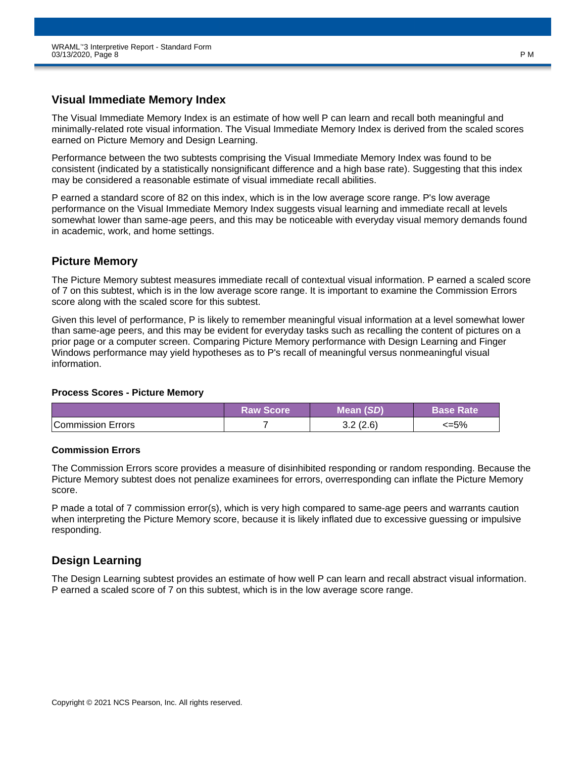### **Visual Immediate Memory Index**

The Visual Immediate Memory Index is an estimate of how well P can learn and recall both meaningful and minimally-related rote visual information. The Visual Immediate Memory Index is derived from the scaled scores earned on Picture Memory and Design Learning.

Performance between the two subtests comprising the Visual Immediate Memory Index was found to be consistent (indicated by a statistically nonsignificant difference and a high base rate). Suggesting that this index may be considered a reasonable estimate of visual immediate recall abilities.

P earned a standard score of 82 on this index, which is in the low average score range. P's low average performance on the Visual Immediate Memory Index suggests visual learning and immediate recall at levels somewhat lower than same-age peers, and this may be noticeable with everyday visual memory demands found in academic, work, and home settings.

### **Picture Memory**

The Picture Memory subtest measures immediate recall of contextual visual information. P earned a scaled score of 7 on this subtest, which is in the low average score range. It is important to examine the Commission Errors score along with the scaled score for this subtest.

Given this level of performance, P is likely to remember meaningful visual information at a level somewhat lower than same-age peers, and this may be evident for everyday tasks such as recalling the content of pictures on a prior page or a computer screen. Comparing Picture Memory performance with Design Learning and Finger Windows performance may yield hypotheses as to P's recall of meaningful versus nonmeaningful visual information.

#### **Process Scores - Picture Memory**

|                          | <b>Raw Score</b> | Mean (SD)        | <b>Base Rate</b> |
|--------------------------|------------------|------------------|------------------|
| <b>Commission Errors</b> |                  | 3.2 (2.6)<br>ے.ت | $<=5\%$          |

### **Commission Errors**

The Commission Errors score provides a measure of disinhibited responding or random responding. Because the Picture Memory subtest does not penalize examinees for errors, overresponding can inflate the Picture Memory score.

P made a total of 7 commission error(s), which is very high compared to same-age peers and warrants caution when interpreting the Picture Memory score, because it is likely inflated due to excessive guessing or impulsive responding.

### **Design Learning**

The Design Learning subtest provides an estimate of how well P can learn and recall abstract visual information. P earned a scaled score of 7 on this subtest, which is in the low average score range.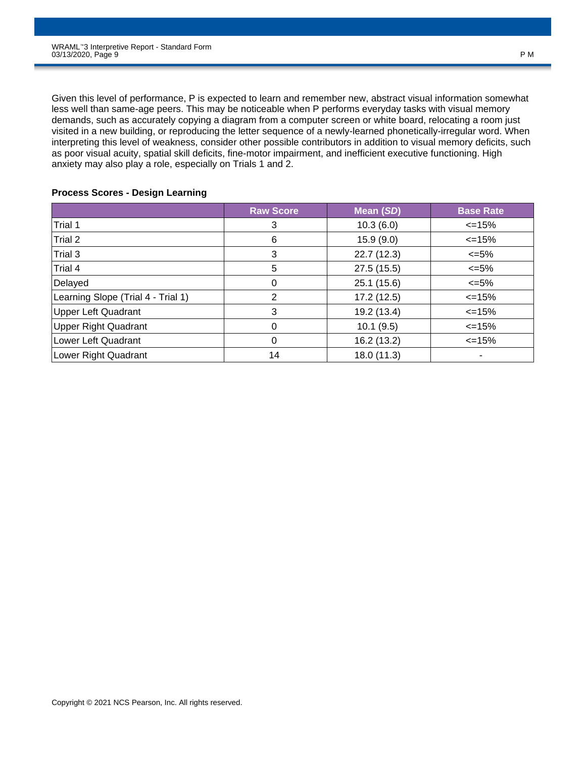Given this level of performance, P is expected to learn and remember new, abstract visual information somewhat less well than same-age peers. This may be noticeable when P performs everyday tasks with visual memory demands, such as accurately copying a diagram from a computer screen or white board, relocating a room just visited in a new building, or reproducing the letter sequence of a newly-learned phonetically-irregular word. When interpreting this level of weakness, consider other possible contributors in addition to visual memory deficits, such as poor visual acuity, spatial skill deficits, fine-motor impairment, and inefficient executive functioning. High anxiety may also play a role, especially on Trials 1 and 2.

#### **Process Scores - Design Learning**

|                                    | <b>Raw Score</b> | Mean (SD)   | <b>Base Rate</b> |
|------------------------------------|------------------|-------------|------------------|
| Trial 1                            | 3                | 10.3(6.0)   | $\leq$ 15%       |
| Trial 2                            | 6                | 15.9(9.0)   | $\leq$ 15%       |
| Trial 3                            | 3                | 22.7(12.3)  | $\epsilon = 5\%$ |
| Trial 4                            | 5                | 27.5(15.5)  | $\leq 5\%$       |
| Delayed                            | 0                | 25.1(15.6)  | $\epsilon = 5\%$ |
| Learning Slope (Trial 4 - Trial 1) | 2                | 17.2(12.5)  | $\leq$ 15%       |
| <b>Upper Left Quadrant</b>         | 3                | 19.2 (13.4) | $\leq$ 15%       |
| <b>Upper Right Quadrant</b>        | 0                | 10.1(9.5)   | $\leq$ 15%       |
| Lower Left Quadrant                | 0                | 16.2 (13.2) | $\leq$ 15%       |
| Lower Right Quadrant               | 14               | 18.0 (11.3) |                  |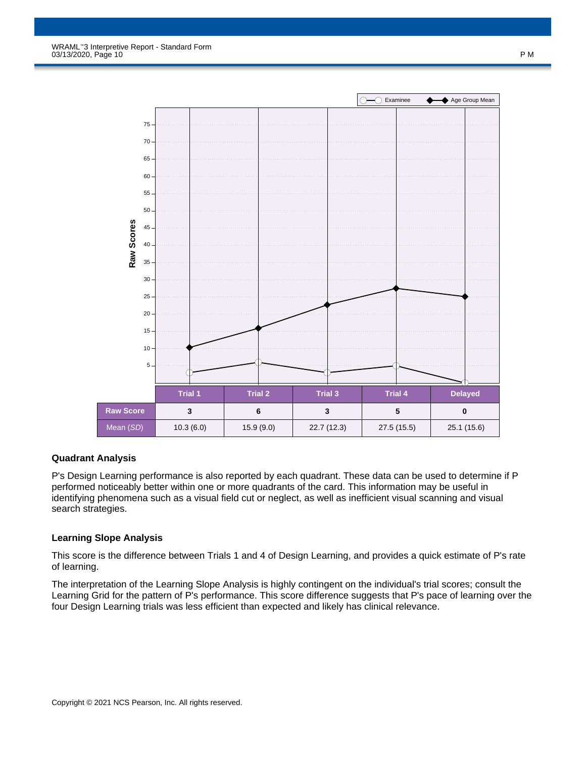

### **Quadrant Analysis**

P's Design Learning performance is also reported by each quadrant. These data can be used to determine if P performed noticeably better within one or more quadrants of the card. This information may be useful in identifying phenomena such as a visual field cut or neglect, as well as inefficient visual scanning and visual search strategies.

#### **Learning Slope Analysis**

This score is the difference between Trials 1 and 4 of Design Learning, and provides a quick estimate of P's rate of learning.

The interpretation of the Learning Slope Analysis is highly contingent on the individual's trial scores; consult the Learning Grid for the pattern of P's performance. This score difference suggests that P's pace of learning over the four Design Learning trials was less efficient than expected and likely has clinical relevance.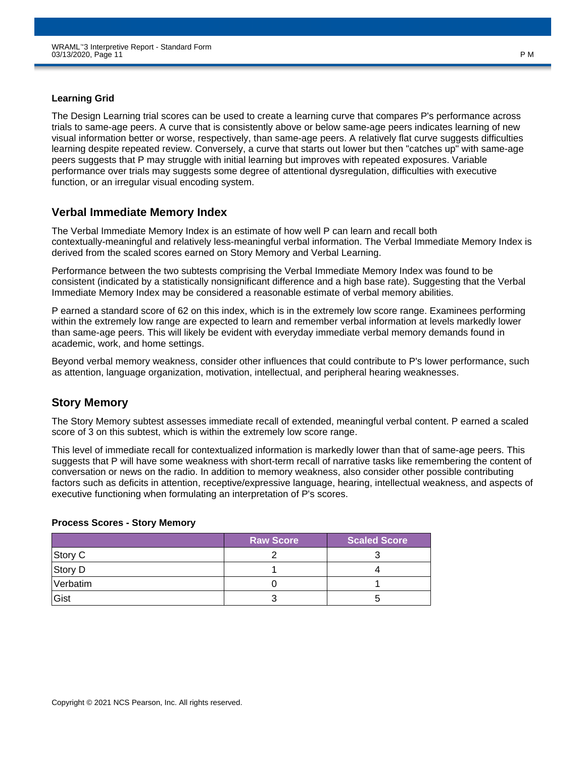### **Learning Grid**

The Design Learning trial scores can be used to create a learning curve that compares P's performance across trials to same-age peers. A curve that is consistently above or below same-age peers indicates learning of new visual information better or worse, respectively, than same-age peers. A relatively flat curve suggests difficulties learning despite repeated review. Conversely, a curve that starts out lower but then "catches up" with same-age peers suggests that P may struggle with initial learning but improves with repeated exposures. Variable performance over trials may suggests some degree of attentional dysregulation, difficulties with executive function, or an irregular visual encoding system.

### **Verbal Immediate Memory Index**

The Verbal Immediate Memory Index is an estimate of how well P can learn and recall both contextually-meaningful and relatively less-meaningful verbal information. The Verbal Immediate Memory Index is derived from the scaled scores earned on Story Memory and Verbal Learning.

Performance between the two subtests comprising the Verbal Immediate Memory Index was found to be consistent (indicated by a statistically nonsignificant difference and a high base rate). Suggesting that the Verbal Immediate Memory Index may be considered a reasonable estimate of verbal memory abilities.

P earned a standard score of 62 on this index, which is in the extremely low score range. Examinees performing within the extremely low range are expected to learn and remember verbal information at levels markedly lower than same-age peers. This will likely be evident with everyday immediate verbal memory demands found in academic, work, and home settings.

Beyond verbal memory weakness, consider other influences that could contribute to P's lower performance, such as attention, language organization, motivation, intellectual, and peripheral hearing weaknesses.

### **Story Memory**

The Story Memory subtest assesses immediate recall of extended, meaningful verbal content. P earned a scaled score of 3 on this subtest, which is within the extremely low score range.

This level of immediate recall for contextualized information is markedly lower than that of same-age peers. This suggests that P will have some weakness with short-term recall of narrative tasks like remembering the content of conversation or news on the radio. In addition to memory weakness, also consider other possible contributing factors such as deficits in attention, receptive/expressive language, hearing, intellectual weakness, and aspects of executive functioning when formulating an interpretation of P's scores.

### **Process Scores - Story Memory**

|          | <b>Raw Score</b> | <b>Scaled Score</b> |
|----------|------------------|---------------------|
| Story C  |                  |                     |
| Story D  |                  |                     |
| Verbatim |                  |                     |
| Gist     |                  |                     |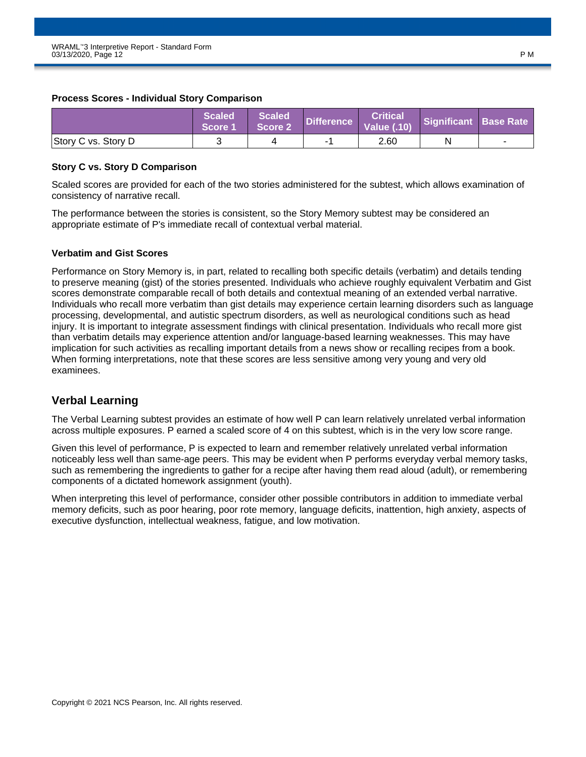#### **Process Scores - Individual Story Comparison**

|                     | <b>Scaled</b><br>Score 1 | <b>Scaled</b><br>Score 2 | Difference | <b>Critical</b><br><b>Value (.10)</b> | Significant Base Rate |  |
|---------------------|--------------------------|--------------------------|------------|---------------------------------------|-----------------------|--|
| Story C vs. Story D |                          |                          |            | 2.60                                  | N                     |  |

### **Story C vs. Story D Comparison**

Scaled scores are provided for each of the two stories administered for the subtest, which allows examination of consistency of narrative recall.

The performance between the stories is consistent, so the Story Memory subtest may be considered an appropriate estimate of P's immediate recall of contextual verbal material.

#### **Verbatim and Gist Scores**

Performance on Story Memory is, in part, related to recalling both specific details (verbatim) and details tending to preserve meaning (gist) of the stories presented. Individuals who achieve roughly equivalent Verbatim and Gist scores demonstrate comparable recall of both details and contextual meaning of an extended verbal narrative. Individuals who recall more verbatim than gist details may experience certain learning disorders such as language processing, developmental, and autistic spectrum disorders, as well as neurological conditions such as head injury. It is important to integrate assessment findings with clinical presentation. Individuals who recall more gist than verbatim details may experience attention and/or language-based learning weaknesses. This may have implication for such activities as recalling important details from a news show or recalling recipes from a book. When forming interpretations, note that these scores are less sensitive among very young and very old examinees.

### **Verbal Learning**

The Verbal Learning subtest provides an estimate of how well P can learn relatively unrelated verbal information across multiple exposures. P earned a scaled score of 4 on this subtest, which is in the very low score range.

Given this level of performance, P is expected to learn and remember relatively unrelated verbal information noticeably less well than same-age peers. This may be evident when P performs everyday verbal memory tasks, such as remembering the ingredients to gather for a recipe after having them read aloud (adult), or remembering components of a dictated homework assignment (youth).

When interpreting this level of performance, consider other possible contributors in addition to immediate verbal memory deficits, such as poor hearing, poor rote memory, language deficits, inattention, high anxiety, aspects of executive dysfunction, intellectual weakness, fatigue, and low motivation.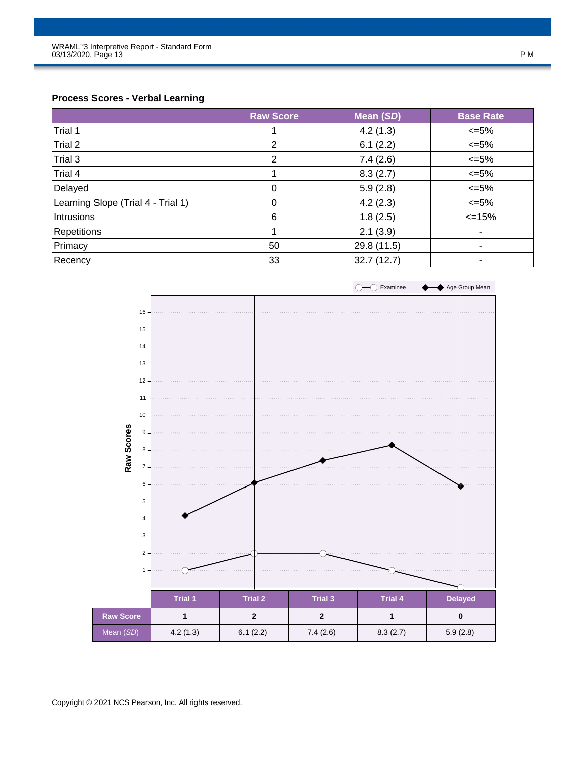### **Process Scores - Verbal Learning**

|                                    | <b>Raw Score</b> | Mean (SD)   | <b>Base Rate</b> |
|------------------------------------|------------------|-------------|------------------|
| Trial 1                            |                  | 4.2(1.3)    | $<=5\%$          |
| Trial 2                            | 2                | 6.1(2.2)    | $\leq 5\%$       |
| Trial 3                            | $\overline{2}$   | 7.4(2.6)    | $<=5\%$          |
| Trial 4                            |                  | 8.3(2.7)    | $\leq 5\%$       |
| Delayed                            | 0                | 5.9(2.8)    | $\leq 5\%$       |
| Learning Slope (Trial 4 - Trial 1) | 0                | 4.2(2.3)    | $<=5\%$          |
| Intrusions                         | 6                | 1.8(2.5)    | $\leq$ 15%       |
| <b>Repetitions</b>                 |                  | 2.1(3.9)    | ۰                |
| Primacy                            | 50               | 29.8 (11.5) |                  |
| Recency                            | 33               | 32.7(12.7)  | ۰                |

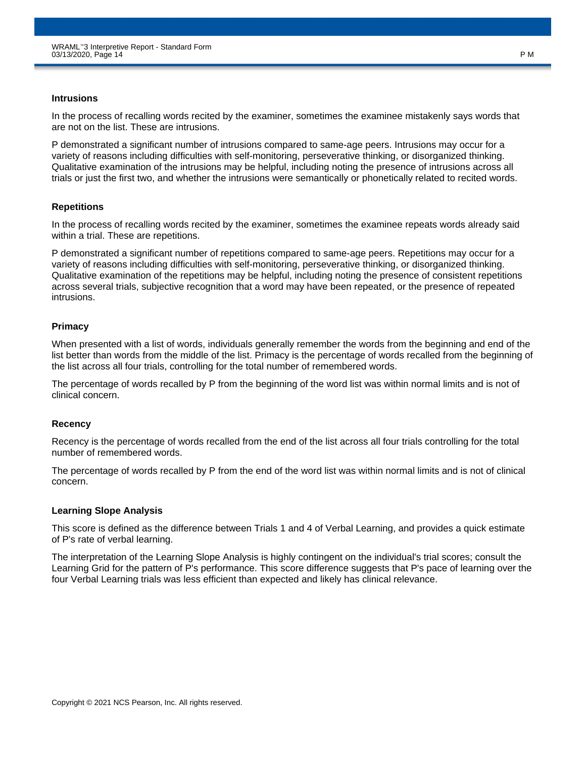#### **Intrusions**

In the process of recalling words recited by the examiner, sometimes the examinee mistakenly says words that are not on the list. These are intrusions.

P demonstrated a significant number of intrusions compared to same-age peers. Intrusions may occur for a variety of reasons including difficulties with self-monitoring, perseverative thinking, or disorganized thinking. Qualitative examination of the intrusions may be helpful, including noting the presence of intrusions across all trials or just the first two, and whether the intrusions were semantically or phonetically related to recited words.

#### **Repetitions**

In the process of recalling words recited by the examiner, sometimes the examinee repeats words already said within a trial. These are repetitions.

P demonstrated a significant number of repetitions compared to same-age peers. Repetitions may occur for a variety of reasons including difficulties with self-monitoring, perseverative thinking, or disorganized thinking. Qualitative examination of the repetitions may be helpful, including noting the presence of consistent repetitions across several trials, subjective recognition that a word may have been repeated, or the presence of repeated intrusions.

### **Primacy**

When presented with a list of words, individuals generally remember the words from the beginning and end of the list better than words from the middle of the list. Primacy is the percentage of words recalled from the beginning of the list across all four trials, controlling for the total number of remembered words.

The percentage of words recalled by P from the beginning of the word list was within normal limits and is not of clinical concern.

### **Recency**

Recency is the percentage of words recalled from the end of the list across all four trials controlling for the total number of remembered words.

The percentage of words recalled by P from the end of the word list was within normal limits and is not of clinical concern.

### **Learning Slope Analysis**

This score is defined as the difference between Trials 1 and 4 of Verbal Learning, and provides a quick estimate of P's rate of verbal learning.

The interpretation of the Learning Slope Analysis is highly contingent on the individual's trial scores; consult the Learning Grid for the pattern of P's performance. This score difference suggests that P's pace of learning over the four Verbal Learning trials was less efficient than expected and likely has clinical relevance.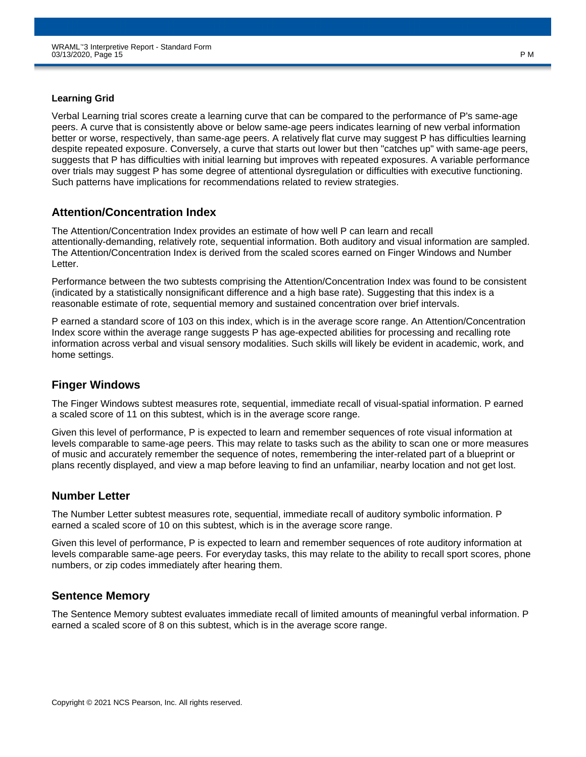### **Learning Grid**

Verbal Learning trial scores create a learning curve that can be compared to the performance of P's same-age peers. A curve that is consistently above or below same-age peers indicates learning of new verbal information better or worse, respectively, than same-age peers. A relatively flat curve may suggest P has difficulties learning despite repeated exposure. Conversely, a curve that starts out lower but then "catches up" with same-age peers, suggests that P has difficulties with initial learning but improves with repeated exposures. A variable performance over trials may suggest P has some degree of attentional dysregulation or difficulties with executive functioning. Such patterns have implications for recommendations related to review strategies.

### **Attention/Concentration Index**

The Attention/Concentration Index provides an estimate of how well P can learn and recall attentionally-demanding, relatively rote, sequential information. Both auditory and visual information are sampled. The Attention/Concentration Index is derived from the scaled scores earned on Finger Windows and Number Letter.

Performance between the two subtests comprising the Attention/Concentration Index was found to be consistent (indicated by a statistically nonsignificant difference and a high base rate). Suggesting that this index is a reasonable estimate of rote, sequential memory and sustained concentration over brief intervals.

P earned a standard score of 103 on this index, which is in the average score range. An Attention/Concentration Index score within the average range suggests P has age-expected abilities for processing and recalling rote information across verbal and visual sensory modalities. Such skills will likely be evident in academic, work, and home settings.

### **Finger Windows**

The Finger Windows subtest measures rote, sequential, immediate recall of visual-spatial information. P earned a scaled score of 11 on this subtest, which is in the average score range.

Given this level of performance, P is expected to learn and remember sequences of rote visual information at levels comparable to same-age peers. This may relate to tasks such as the ability to scan one or more measures of music and accurately remember the sequence of notes, remembering the inter-related part of a blueprint or plans recently displayed, and view a map before leaving to find an unfamiliar, nearby location and not get lost.

### **Number Letter**

The Number Letter subtest measures rote, sequential, immediate recall of auditory symbolic information. P earned a scaled score of 10 on this subtest, which is in the average score range.

Given this level of performance, P is expected to learn and remember sequences of rote auditory information at levels comparable same-age peers. For everyday tasks, this may relate to the ability to recall sport scores, phone numbers, or zip codes immediately after hearing them.

### **Sentence Memory**

The Sentence Memory subtest evaluates immediate recall of limited amounts of meaningful verbal information. P earned a scaled score of 8 on this subtest, which is in the average score range.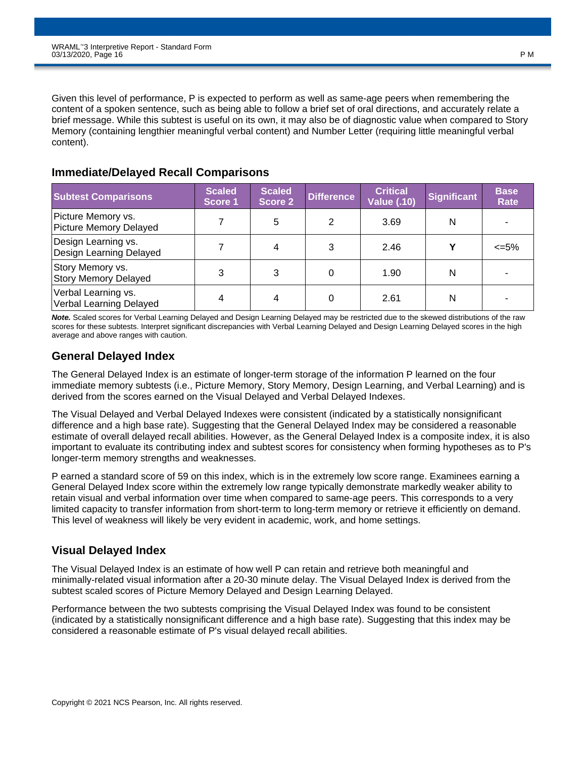Given this level of performance, P is expected to perform as well as same-age peers when remembering the content of a spoken sentence, such as being able to follow a brief set of oral directions, and accurately relate a brief message. While this subtest is useful on its own, it may also be of diagnostic value when compared to Story Memory (containing lengthier meaningful verbal content) and Number Letter (requiring little meaningful verbal content).

### **Immediate/Delayed Recall Comparisons**

| <b>Subtest Comparisons</b>                      | <b>Scaled</b><br>Score 1 | <b>Scaled</b><br>Score 2 | <b>Difference</b> | <b>Critical</b><br><b>Value (.10)</b> | <b>Significant</b> | <b>Base</b><br>Rate |
|-------------------------------------------------|--------------------------|--------------------------|-------------------|---------------------------------------|--------------------|---------------------|
| Picture Memory vs.<br>Picture Memory Delayed    |                          | 5                        | 2                 | 3.69                                  | N                  |                     |
| Design Learning vs.<br>Design Learning Delayed  |                          | 4                        | 3                 | 2.46                                  | v                  | <=5%                |
| Story Memory vs.<br><b>Story Memory Delayed</b> | 3                        | 3                        |                   | 1.90                                  | N                  |                     |
| Verbal Learning vs.<br>Verbal Learning Delayed  | 4                        | 4                        |                   | 2.61                                  | N                  |                     |

*Note.* Scaled scores for Verbal Learning Delayed and Design Learning Delayed may be restricted due to the skewed distributions of the raw scores for these subtests. Interpret significant discrepancies with Verbal Learning Delayed and Design Learning Delayed scores in the high average and above ranges with caution.

### **General Delayed Index**

The General Delayed Index is an estimate of longer-term storage of the information P learned on the four immediate memory subtests (i.e., Picture Memory, Story Memory, Design Learning, and Verbal Learning) and is derived from the scores earned on the Visual Delayed and Verbal Delayed Indexes.

The Visual Delayed and Verbal Delayed Indexes were consistent (indicated by a statistically nonsignificant difference and a high base rate). Suggesting that the General Delayed Index may be considered a reasonable estimate of overall delayed recall abilities. However, as the General Delayed Index is a composite index, it is also important to evaluate its contributing index and subtest scores for consistency when forming hypotheses as to P's longer-term memory strengths and weaknesses.

P earned a standard score of 59 on this index, which is in the extremely low score range. Examinees earning a General Delayed Index score within the extremely low range typically demonstrate markedly weaker ability to retain visual and verbal information over time when compared to same-age peers. This corresponds to a very limited capacity to transfer information from short-term to long-term memory or retrieve it efficiently on demand. This level of weakness will likely be very evident in academic, work, and home settings.

## **Visual Delayed Index**

The Visual Delayed Index is an estimate of how well P can retain and retrieve both meaningful and minimally-related visual information after a 20-30 minute delay. The Visual Delayed Index is derived from the subtest scaled scores of Picture Memory Delayed and Design Learning Delayed.

Performance between the two subtests comprising the Visual Delayed Index was found to be consistent (indicated by a statistically nonsignificant difference and a high base rate). Suggesting that this index may be considered a reasonable estimate of P's visual delayed recall abilities.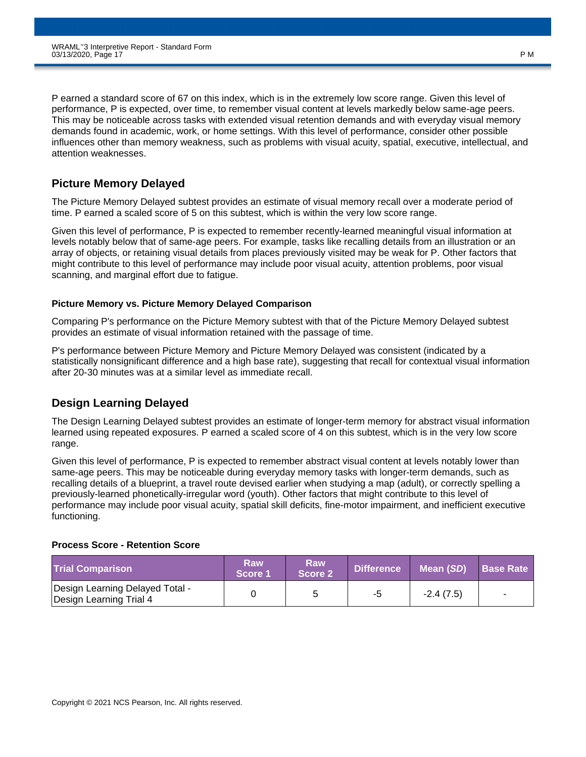P earned a standard score of 67 on this index, which is in the extremely low score range. Given this level of performance, P is expected, over time, to remember visual content at levels markedly below same-age peers. This may be noticeable across tasks with extended visual retention demands and with everyday visual memory demands found in academic, work, or home settings. With this level of performance, consider other possible influences other than memory weakness, such as problems with visual acuity, spatial, executive, intellectual, and attention weaknesses.

### **Picture Memory Delayed**

The Picture Memory Delayed subtest provides an estimate of visual memory recall over a moderate period of time. P earned a scaled score of 5 on this subtest, which is within the very low score range.

Given this level of performance, P is expected to remember recently-learned meaningful visual information at levels notably below that of same-age peers. For example, tasks like recalling details from an illustration or an array of objects, or retaining visual details from places previously visited may be weak for P. Other factors that might contribute to this level of performance may include poor visual acuity, attention problems, poor visual scanning, and marginal effort due to fatigue.

### **Picture Memory vs. Picture Memory Delayed Comparison**

Comparing P's performance on the Picture Memory subtest with that of the Picture Memory Delayed subtest provides an estimate of visual information retained with the passage of time.

P's performance between Picture Memory and Picture Memory Delayed was consistent (indicated by a statistically nonsignificant difference and a high base rate), suggesting that recall for contextual visual information after 20-30 minutes was at a similar level as immediate recall.

### **Design Learning Delayed**

The Design Learning Delayed subtest provides an estimate of longer-term memory for abstract visual information learned using repeated exposures. P earned a scaled score of 4 on this subtest, which is in the very low score range.

Given this level of performance, P is expected to remember abstract visual content at levels notably lower than same-age peers. This may be noticeable during everyday memory tasks with longer-term demands, such as recalling details of a blueprint, a travel route devised earlier when studying a map (adult), or correctly spelling a previously-learned phonetically-irregular word (youth). Other factors that might contribute to this level of performance may include poor visual acuity, spatial skill deficits, fine-motor impairment, and inefficient executive functioning.

### **Process Score - Retention Score**

| <b>Trial Comparison</b>                                    | Raw<br>Score 1 | Raw<br>Score 2 | Difference | Mean (SD)   | <b>Base Rate</b> |
|------------------------------------------------------------|----------------|----------------|------------|-------------|------------------|
| Design Learning Delayed Total -<br>Design Learning Trial 4 |                |                | -5         | $-2.4(7.5)$ | $\sim$           |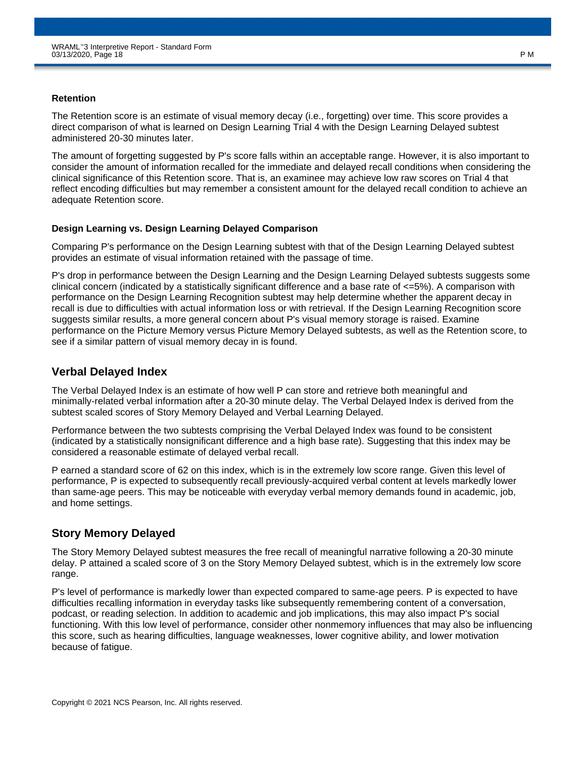#### **Retention**

The Retention score is an estimate of visual memory decay (i.e., forgetting) over time. This score provides a direct comparison of what is learned on Design Learning Trial 4 with the Design Learning Delayed subtest administered 20-30 minutes later.

The amount of forgetting suggested by P's score falls within an acceptable range. However, it is also important to consider the amount of information recalled for the immediate and delayed recall conditions when considering the clinical significance of this Retention score. That is, an examinee may achieve low raw scores on Trial 4 that reflect encoding difficulties but may remember a consistent amount for the delayed recall condition to achieve an adequate Retention score.

### **Design Learning vs. Design Learning Delayed Comparison**

Comparing P's performance on the Design Learning subtest with that of the Design Learning Delayed subtest provides an estimate of visual information retained with the passage of time.

P's drop in performance between the Design Learning and the Design Learning Delayed subtests suggests some clinical concern (indicated by a statistically significant difference and a base rate of <=5%). A comparison with performance on the Design Learning Recognition subtest may help determine whether the apparent decay in recall is due to difficulties with actual information loss or with retrieval. If the Design Learning Recognition score suggests similar results, a more general concern about P's visual memory storage is raised. Examine performance on the Picture Memory versus Picture Memory Delayed subtests, as well as the Retention score, to see if a similar pattern of visual memory decay in is found.

### **Verbal Delayed Index**

The Verbal Delayed Index is an estimate of how well P can store and retrieve both meaningful and minimally-related verbal information after a 20-30 minute delay. The Verbal Delayed Index is derived from the subtest scaled scores of Story Memory Delayed and Verbal Learning Delayed.

Performance between the two subtests comprising the Verbal Delayed Index was found to be consistent (indicated by a statistically nonsignificant difference and a high base rate). Suggesting that this index may be considered a reasonable estimate of delayed verbal recall.

P earned a standard score of 62 on this index, which is in the extremely low score range. Given this level of performance, P is expected to subsequently recall previously-acquired verbal content at levels markedly lower than same-age peers. This may be noticeable with everyday verbal memory demands found in academic, job, and home settings.

### **Story Memory Delayed**

The Story Memory Delayed subtest measures the free recall of meaningful narrative following a 20-30 minute delay. P attained a scaled score of 3 on the Story Memory Delayed subtest, which is in the extremely low score range.

P's level of performance is markedly lower than expected compared to same-age peers. P is expected to have difficulties recalling information in everyday tasks like subsequently remembering content of a conversation, podcast, or reading selection. In addition to academic and job implications, this may also impact P's social functioning. With this low level of performance, consider other nonmemory influences that may also be influencing this score, such as hearing difficulties, language weaknesses, lower cognitive ability, and lower motivation because of fatigue.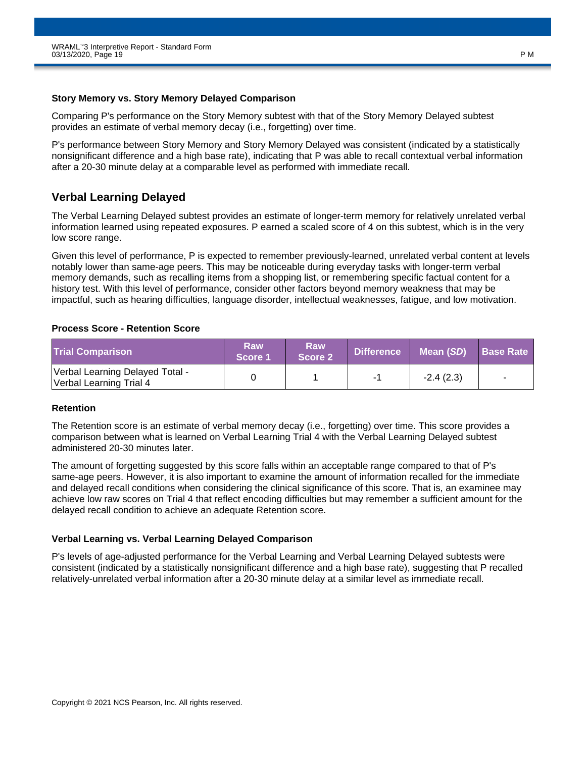#### **Story Memory vs. Story Memory Delayed Comparison**

Comparing P's performance on the Story Memory subtest with that of the Story Memory Delayed subtest provides an estimate of verbal memory decay (i.e., forgetting) over time.

P's performance between Story Memory and Story Memory Delayed was consistent (indicated by a statistically nonsignificant difference and a high base rate), indicating that P was able to recall contextual verbal information after a 20-30 minute delay at a comparable level as performed with immediate recall.

### **Verbal Learning Delayed**

The Verbal Learning Delayed subtest provides an estimate of longer-term memory for relatively unrelated verbal information learned using repeated exposures. P earned a scaled score of 4 on this subtest, which is in the very low score range.

Given this level of performance, P is expected to remember previously-learned, unrelated verbal content at levels notably lower than same-age peers. This may be noticeable during everyday tasks with longer-term verbal memory demands, such as recalling items from a shopping list, or remembering specific factual content for a history test. With this level of performance, consider other factors beyond memory weakness that may be impactful, such as hearing difficulties, language disorder, intellectual weaknesses, fatigue, and low motivation.

### **Process Score - Retention Score**

| <b>Trial Comparison</b>                                    | Raw<br>Score 1 | Raw<br>Score 2 | <b>Difference</b> | Mean (SD)   | <b>Base Rate</b>         |
|------------------------------------------------------------|----------------|----------------|-------------------|-------------|--------------------------|
| Verbal Learning Delayed Total -<br>Verbal Learning Trial 4 |                |                | -1                | $-2.4(2.3)$ | $\overline{\phantom{0}}$ |

### **Retention**

The Retention score is an estimate of verbal memory decay (i.e., forgetting) over time. This score provides a comparison between what is learned on Verbal Learning Trial 4 with the Verbal Learning Delayed subtest administered 20-30 minutes later.

The amount of forgetting suggested by this score falls within an acceptable range compared to that of P's same-age peers. However, it is also important to examine the amount of information recalled for the immediate and delayed recall conditions when considering the clinical significance of this score. That is, an examinee may achieve low raw scores on Trial 4 that reflect encoding difficulties but may remember a sufficient amount for the delayed recall condition to achieve an adequate Retention score.

### **Verbal Learning vs. Verbal Learning Delayed Comparison**

P's levels of age-adjusted performance for the Verbal Learning and Verbal Learning Delayed subtests were consistent (indicated by a statistically nonsignificant difference and a high base rate), suggesting that P recalled relatively-unrelated verbal information after a 20-30 minute delay at a similar level as immediate recall.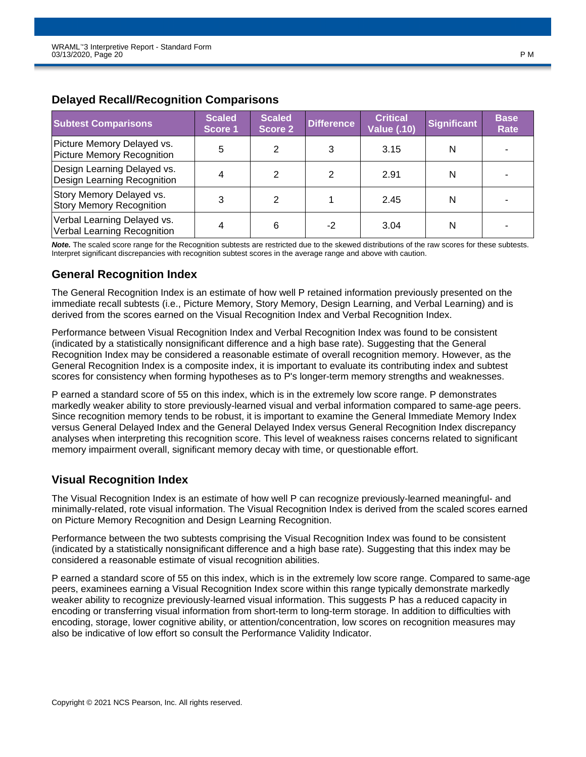| <b>Subtest Comparisons</b>                                        | <b>Scaled</b><br>Score 1 | <b>Scaled</b><br>Score 2 | <b>Difference</b> | <b>Critical</b><br><b>Value (.10)</b> | <b>Significant</b> | <b>Base</b><br>Rate |
|-------------------------------------------------------------------|--------------------------|--------------------------|-------------------|---------------------------------------|--------------------|---------------------|
| Picture Memory Delayed vs.<br>Picture Memory Recognition          | 5                        | 2                        |                   | 3.15                                  | N                  |                     |
| Design Learning Delayed vs.<br><b>Design Learning Recognition</b> | 4                        |                          |                   | 2.91                                  | N                  |                     |
| Story Memory Delayed vs.<br><b>Story Memory Recognition</b>       | 3                        | 2                        |                   | 2.45                                  | N                  |                     |
| Verbal Learning Delayed vs.<br>Verbal Learning Recognition        | 4                        | 6                        | -2                | 3.04                                  | N                  |                     |

### **Delayed Recall/Recognition Comparisons**

*Note.* The scaled score range for the Recognition subtests are restricted due to the skewed distributions of the raw scores for these subtests. Interpret significant discrepancies with recognition subtest scores in the average range and above with caution.

### **General Recognition Index**

The General Recognition Index is an estimate of how well P retained information previously presented on the immediate recall subtests (i.e., Picture Memory, Story Memory, Design Learning, and Verbal Learning) and is derived from the scores earned on the Visual Recognition Index and Verbal Recognition Index.

Performance between Visual Recognition Index and Verbal Recognition Index was found to be consistent (indicated by a statistically nonsignificant difference and a high base rate). Suggesting that the General Recognition Index may be considered a reasonable estimate of overall recognition memory. However, as the General Recognition Index is a composite index, it is important to evaluate its contributing index and subtest scores for consistency when forming hypotheses as to P's longer-term memory strengths and weaknesses.

P earned a standard score of 55 on this index, which is in the extremely low score range. P demonstrates markedly weaker ability to store previously-learned visual and verbal information compared to same-age peers. Since recognition memory tends to be robust, it is important to examine the General Immediate Memory Index versus General Delayed Index and the General Delayed Index versus General Recognition Index discrepancy analyses when interpreting this recognition score. This level of weakness raises concerns related to significant memory impairment overall, significant memory decay with time, or questionable effort.

### **Visual Recognition Index**

The Visual Recognition Index is an estimate of how well P can recognize previously-learned meaningful- and minimally-related, rote visual information. The Visual Recognition Index is derived from the scaled scores earned on Picture Memory Recognition and Design Learning Recognition.

Performance between the two subtests comprising the Visual Recognition Index was found to be consistent (indicated by a statistically nonsignificant difference and a high base rate). Suggesting that this index may be considered a reasonable estimate of visual recognition abilities.

P earned a standard score of 55 on this index, which is in the extremely low score range. Compared to same-age peers, examinees earning a Visual Recognition Index score within this range typically demonstrate markedly weaker ability to recognize previously-learned visual information. This suggests P has a reduced capacity in encoding or transferring visual information from short-term to long-term storage. In addition to difficulties with encoding, storage, lower cognitive ability, or attention/concentration, low scores on recognition measures may also be indicative of low effort so consult the Performance Validity Indicator.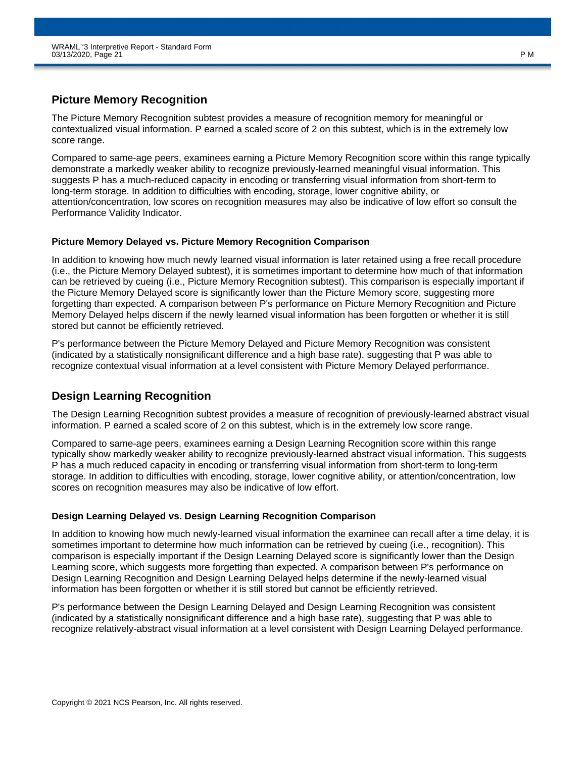### **Picture Memory Recognition**

The Picture Memory Recognition subtest provides a measure of recognition memory for meaningful or contextualized visual information. P earned a scaled score of 2 on this subtest, which is in the extremely low score range.

Compared to same-age peers, examinees earning a Picture Memory Recognition score within this range typically demonstrate a markedly weaker ability to recognize previously-learned meaningful visual information. This suggests P has a much-reduced capacity in encoding or transferring visual information from short-term to long-term storage. In addition to difficulties with encoding, storage, lower cognitive ability, or attention/concentration, low scores on recognition measures may also be indicative of low effort so consult the Performance Validity Indicator.

### **Picture Memory Delayed vs. Picture Memory Recognition Comparison**

In addition to knowing how much newly learned visual information is later retained using a free recall procedure (i.e., the Picture Memory Delayed subtest), it is sometimes important to determine how much of that information can be retrieved by cueing (i.e., Picture Memory Recognition subtest). This comparison is especially important if the Picture Memory Delayed score is significantly lower than the Picture Memory score, suggesting more forgetting than expected. A comparison between P's performance on Picture Memory Recognition and Picture Memory Delayed helps discern if the newly learned visual information has been forgotten or whether it is still stored but cannot be efficiently retrieved.

P's performance between the Picture Memory Delayed and Picture Memory Recognition was consistent (indicated by a statistically nonsignificant difference and a high base rate), suggesting that P was able to recognize contextual visual information at a level consistent with Picture Memory Delayed performance.

### **Design Learning Recognition**

The Design Learning Recognition subtest provides a measure of recognition of previously-learned abstract visual information. P earned a scaled score of 2 on this subtest, which is in the extremely low score range.

Compared to same-age peers, examinees earning a Design Learning Recognition score within this range typically show markedly weaker ability to recognize previously-learned abstract visual information. This suggests P has a much reduced capacity in encoding or transferring visual information from short-term to long-term storage. In addition to difficulties with encoding, storage, lower cognitive ability, or attention/concentration, low scores on recognition measures may also be indicative of low effort.

### **Design Learning Delayed vs. Design Learning Recognition Comparison**

In addition to knowing how much newly-learned visual information the examinee can recall after a time delay, it is sometimes important to determine how much information can be retrieved by cueing (i.e., recognition). This comparison is especially important if the Design Learning Delayed score is significantly lower than the Design Learning score, which suggests more forgetting than expected. A comparison between P's performance on Design Learning Recognition and Design Learning Delayed helps determine if the newly-learned visual information has been forgotten or whether it is still stored but cannot be efficiently retrieved.

P's performance between the Design Learning Delayed and Design Learning Recognition was consistent (indicated by a statistically nonsignificant difference and a high base rate), suggesting that P was able to recognize relatively-abstract visual information at a level consistent with Design Learning Delayed performance.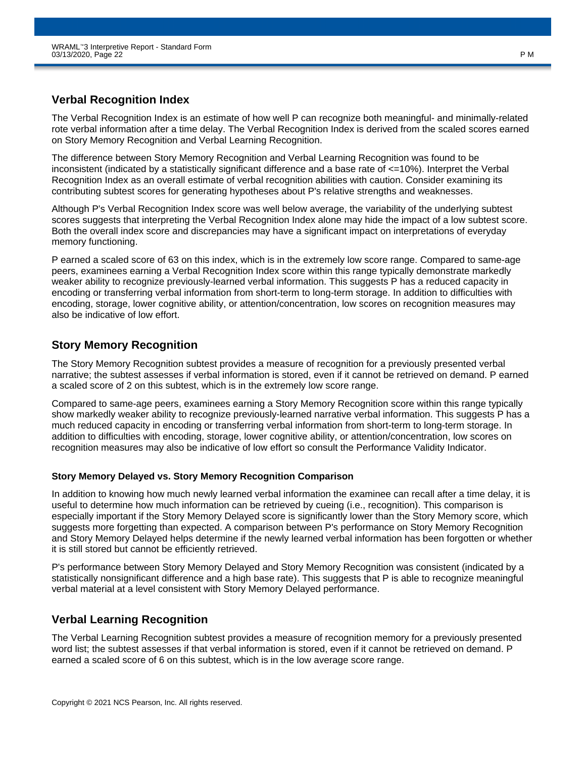### **Verbal Recognition Index**

The Verbal Recognition Index is an estimate of how well P can recognize both meaningful- and minimally-related rote verbal information after a time delay. The Verbal Recognition Index is derived from the scaled scores earned on Story Memory Recognition and Verbal Learning Recognition.

The difference between Story Memory Recognition and Verbal Learning Recognition was found to be inconsistent (indicated by a statistically significant difference and a base rate of <=10%). Interpret the Verbal Recognition Index as an overall estimate of verbal recognition abilities with caution. Consider examining its contributing subtest scores for generating hypotheses about P's relative strengths and weaknesses.

Although P's Verbal Recognition Index score was well below average, the variability of the underlying subtest scores suggests that interpreting the Verbal Recognition Index alone may hide the impact of a low subtest score. Both the overall index score and discrepancies may have a significant impact on interpretations of everyday memory functioning.

P earned a scaled score of 63 on this index, which is in the extremely low score range. Compared to same-age peers, examinees earning a Verbal Recognition Index score within this range typically demonstrate markedly weaker ability to recognize previously-learned verbal information. This suggests P has a reduced capacity in encoding or transferring verbal information from short-term to long-term storage. In addition to difficulties with encoding, storage, lower cognitive ability, or attention/concentration, low scores on recognition measures may also be indicative of low effort.

### **Story Memory Recognition**

The Story Memory Recognition subtest provides a measure of recognition for a previously presented verbal narrative; the subtest assesses if verbal information is stored, even if it cannot be retrieved on demand. P earned a scaled score of 2 on this subtest, which is in the extremely low score range.

Compared to same-age peers, examinees earning a Story Memory Recognition score within this range typically show markedly weaker ability to recognize previously-learned narrative verbal information. This suggests P has a much reduced capacity in encoding or transferring verbal information from short-term to long-term storage. In addition to difficulties with encoding, storage, lower cognitive ability, or attention/concentration, low scores on recognition measures may also be indicative of low effort so consult the Performance Validity Indicator.

### **Story Memory Delayed vs. Story Memory Recognition Comparison**

In addition to knowing how much newly learned verbal information the examinee can recall after a time delay, it is useful to determine how much information can be retrieved by cueing (i.e., recognition). This comparison is especially important if the Story Memory Delayed score is significantly lower than the Story Memory score, which suggests more forgetting than expected. A comparison between P's performance on Story Memory Recognition and Story Memory Delayed helps determine if the newly learned verbal information has been forgotten or whether it is still stored but cannot be efficiently retrieved.

P's performance between Story Memory Delayed and Story Memory Recognition was consistent (indicated by a statistically nonsignificant difference and a high base rate). This suggests that P is able to recognize meaningful verbal material at a level consistent with Story Memory Delayed performance.

### **Verbal Learning Recognition**

The Verbal Learning Recognition subtest provides a measure of recognition memory for a previously presented word list; the subtest assesses if that verbal information is stored, even if it cannot be retrieved on demand. P earned a scaled score of 6 on this subtest, which is in the low average score range.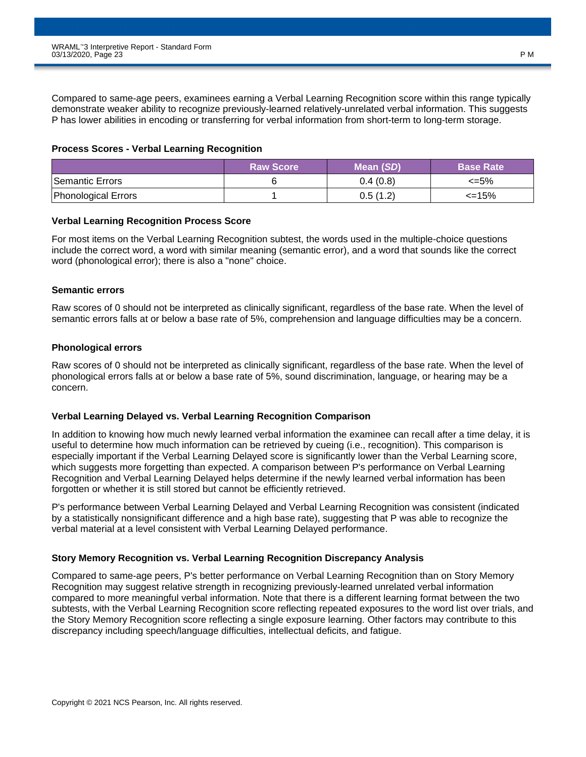Compared to same-age peers, examinees earning a Verbal Learning Recognition score within this range typically demonstrate weaker ability to recognize previously-learned relatively-unrelated verbal information. This suggests P has lower abilities in encoding or transferring for verbal information from short-term to long-term storage.

#### **Process Scores - Verbal Learning Recognition**

|                     | <b>Raw Score</b> | Mean (SD) | <b>Base Rate</b> |
|---------------------|------------------|-----------|------------------|
| Semantic Errors     |                  | 0.4(0.8)  | <=5%             |
| Phonological Errors |                  | 0.5(1.2)  | $\leq$ 15%       |

#### **Verbal Learning Recognition Process Score**

For most items on the Verbal Learning Recognition subtest, the words used in the multiple-choice questions include the correct word, a word with similar meaning (semantic error), and a word that sounds like the correct word (phonological error); there is also a "none" choice.

### **Semantic errors**

Raw scores of 0 should not be interpreted as clinically significant, regardless of the base rate. When the level of semantic errors falls at or below a base rate of 5%, comprehension and language difficulties may be a concern.

#### **Phonological errors**

Raw scores of 0 should not be interpreted as clinically significant, regardless of the base rate. When the level of phonological errors falls at or below a base rate of 5%, sound discrimination, language, or hearing may be a concern.

### **Verbal Learning Delayed vs. Verbal Learning Recognition Comparison**

In addition to knowing how much newly learned verbal information the examinee can recall after a time delay, it is useful to determine how much information can be retrieved by cueing (i.e., recognition). This comparison is especially important if the Verbal Learning Delayed score is significantly lower than the Verbal Learning score, which suggests more forgetting than expected. A comparison between P's performance on Verbal Learning Recognition and Verbal Learning Delayed helps determine if the newly learned verbal information has been forgotten or whether it is still stored but cannot be efficiently retrieved.

P's performance between Verbal Learning Delayed and Verbal Learning Recognition was consistent (indicated by a statistically nonsignificant difference and a high base rate), suggesting that P was able to recognize the verbal material at a level consistent with Verbal Learning Delayed performance.

### **Story Memory Recognition vs. Verbal Learning Recognition Discrepancy Analysis**

Compared to same-age peers, P's better performance on Verbal Learning Recognition than on Story Memory Recognition may suggest relative strength in recognizing previously-learned unrelated verbal information compared to more meaningful verbal information. Note that there is a different learning format between the two subtests, with the Verbal Learning Recognition score reflecting repeated exposures to the word list over trials, and the Story Memory Recognition score reflecting a single exposure learning. Other factors may contribute to this discrepancy including speech/language difficulties, intellectual deficits, and fatigue.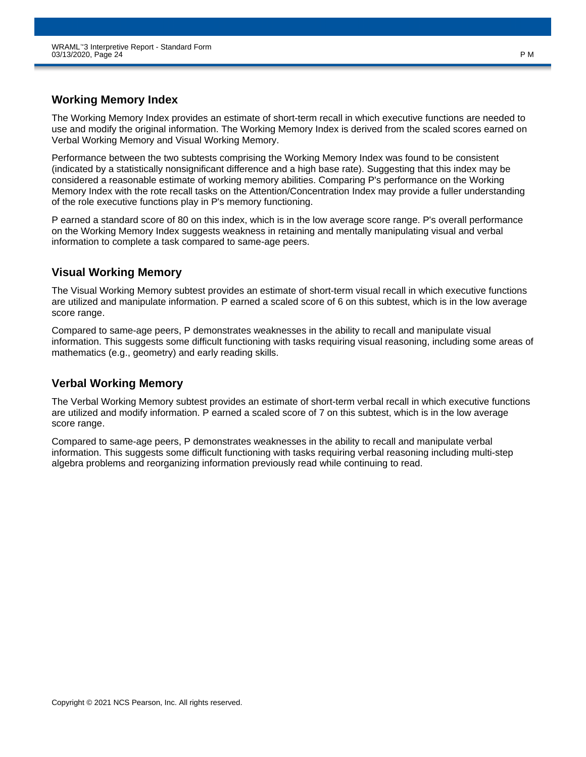### **Working Memory Index**

The Working Memory Index provides an estimate of short-term recall in which executive functions are needed to use and modify the original information. The Working Memory Index is derived from the scaled scores earned on Verbal Working Memory and Visual Working Memory.

Performance between the two subtests comprising the Working Memory Index was found to be consistent (indicated by a statistically nonsignificant difference and a high base rate). Suggesting that this index may be considered a reasonable estimate of working memory abilities. Comparing P's performance on the Working Memory Index with the rote recall tasks on the Attention/Concentration Index may provide a fuller understanding of the role executive functions play in P's memory functioning.

P earned a standard score of 80 on this index, which is in the low average score range. P's overall performance on the Working Memory Index suggests weakness in retaining and mentally manipulating visual and verbal information to complete a task compared to same-age peers.

### **Visual Working Memory**

The Visual Working Memory subtest provides an estimate of short-term visual recall in which executive functions are utilized and manipulate information. P earned a scaled score of 6 on this subtest, which is in the low average score range.

Compared to same-age peers, P demonstrates weaknesses in the ability to recall and manipulate visual information. This suggests some difficult functioning with tasks requiring visual reasoning, including some areas of mathematics (e.g., geometry) and early reading skills.

### **Verbal Working Memory**

The Verbal Working Memory subtest provides an estimate of short-term verbal recall in which executive functions are utilized and modify information. P earned a scaled score of 7 on this subtest, which is in the low average score range.

Compared to same-age peers, P demonstrates weaknesses in the ability to recall and manipulate verbal information. This suggests some difficult functioning with tasks requiring verbal reasoning including multi-step algebra problems and reorganizing information previously read while continuing to read.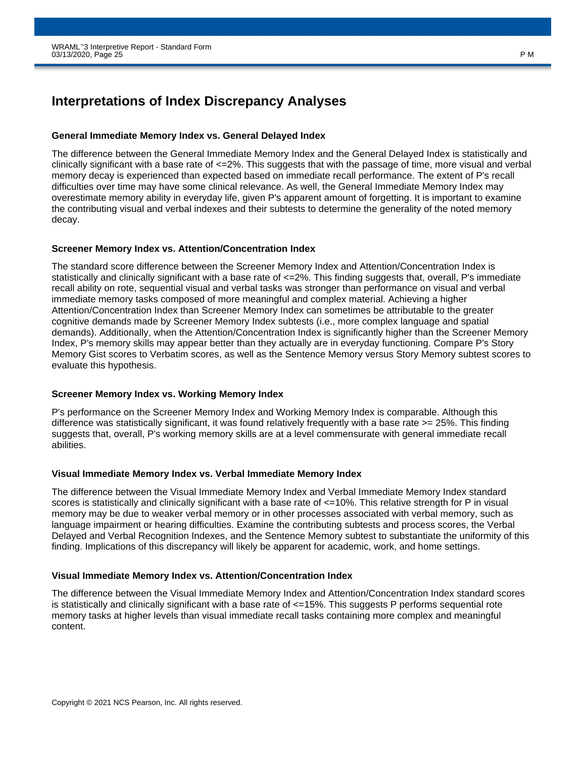# **Interpretations of Index Discrepancy Analyses**

#### **General Immediate Memory Index vs. General Delayed Index**

The difference between the General Immediate Memory Index and the General Delayed Index is statistically and clinically significant with a base rate of  $\leq$ =2%. This suggests that with the passage of time, more visual and verbal memory decay is experienced than expected based on immediate recall performance. The extent of P's recall difficulties over time may have some clinical relevance. As well, the General Immediate Memory Index may overestimate memory ability in everyday life, given P's apparent amount of forgetting. It is important to examine the contributing visual and verbal indexes and their subtests to determine the generality of the noted memory decay.

#### **Screener Memory Index vs. Attention/Concentration Index**

The standard score difference between the Screener Memory Index and Attention/Concentration Index is statistically and clinically significant with a base rate of  $\leq$ =2%. This finding suggests that, overall, P's immediate recall ability on rote, sequential visual and verbal tasks was stronger than performance on visual and verbal immediate memory tasks composed of more meaningful and complex material. Achieving a higher Attention/Concentration Index than Screener Memory Index can sometimes be attributable to the greater cognitive demands made by Screener Memory Index subtests (i.e., more complex language and spatial demands). Additionally, when the Attention/Concentration Index is significantly higher than the Screener Memory Index, P's memory skills may appear better than they actually are in everyday functioning. Compare P's Story Memory Gist scores to Verbatim scores, as well as the Sentence Memory versus Story Memory subtest scores to evaluate this hypothesis.

### **Screener Memory Index vs. Working Memory Index**

P's performance on the Screener Memory Index and Working Memory Index is comparable. Although this difference was statistically significant, it was found relatively frequently with a base rate >= 25%. This finding suggests that, overall, P's working memory skills are at a level commensurate with general immediate recall abilities.

#### **Visual Immediate Memory Index vs. Verbal Immediate Memory Index**

The difference between the Visual Immediate Memory Index and Verbal Immediate Memory Index standard scores is statistically and clinically significant with a base rate of  $\leq$ =10%. This relative strength for P in visual memory may be due to weaker verbal memory or in other processes associated with verbal memory, such as language impairment or hearing difficulties. Examine the contributing subtests and process scores, the Verbal Delayed and Verbal Recognition Indexes, and the Sentence Memory subtest to substantiate the uniformity of this finding. Implications of this discrepancy will likely be apparent for academic, work, and home settings.

#### **Visual Immediate Memory Index vs. Attention/Concentration Index**

The difference between the Visual Immediate Memory Index and Attention/Concentration Index standard scores is statistically and clinically significant with a base rate of <=15%. This suggests P performs sequential rote memory tasks at higher levels than visual immediate recall tasks containing more complex and meaningful content.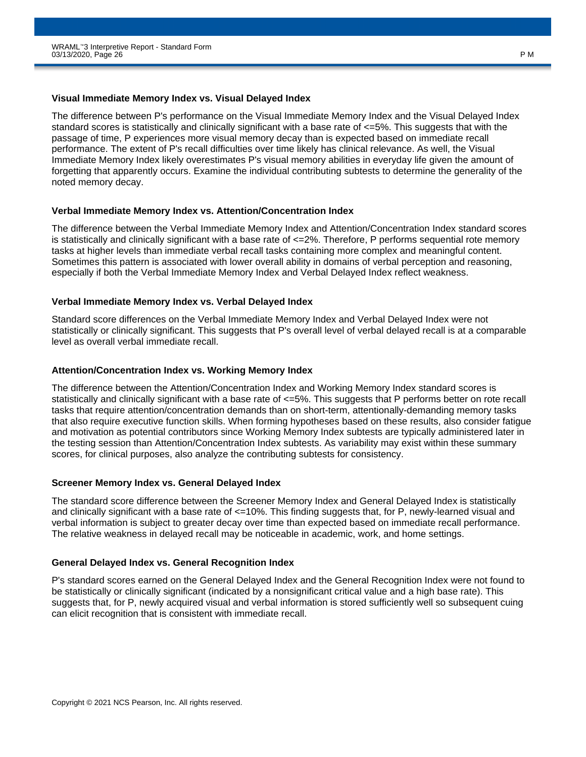#### **Visual Immediate Memory Index vs. Visual Delayed Index**

The difference between P's performance on the Visual Immediate Memory Index and the Visual Delayed Index standard scores is statistically and clinically significant with a base rate of  $\epsilon$ =5%. This suggests that with the passage of time, P experiences more visual memory decay than is expected based on immediate recall performance. The extent of P's recall difficulties over time likely has clinical relevance. As well, the Visual Immediate Memory Index likely overestimates P's visual memory abilities in everyday life given the amount of forgetting that apparently occurs. Examine the individual contributing subtests to determine the generality of the noted memory decay.

#### **Verbal Immediate Memory Index vs. Attention/Concentration Index**

The difference between the Verbal Immediate Memory Index and Attention/Concentration Index standard scores is statistically and clinically significant with a base rate of  $\leq$ =2%. Therefore, P performs sequential rote memory tasks at higher levels than immediate verbal recall tasks containing more complex and meaningful content. Sometimes this pattern is associated with lower overall ability in domains of verbal perception and reasoning, especially if both the Verbal Immediate Memory Index and Verbal Delayed Index reflect weakness.

#### **Verbal Immediate Memory Index vs. Verbal Delayed Index**

Standard score differences on the Verbal Immediate Memory Index and Verbal Delayed Index were not statistically or clinically significant. This suggests that P's overall level of verbal delayed recall is at a comparable level as overall verbal immediate recall.

#### **Attention/Concentration Index vs. Working Memory Index**

The difference between the Attention/Concentration Index and Working Memory Index standard scores is statistically and clinically significant with a base rate of <=5%. This suggests that P performs better on rote recall tasks that require attention/concentration demands than on short-term, attentionally-demanding memory tasks that also require executive function skills. When forming hypotheses based on these results, also consider fatigue and motivation as potential contributors since Working Memory Index subtests are typically administered later in the testing session than Attention/Concentration Index subtests. As variability may exist within these summary scores, for clinical purposes, also analyze the contributing subtests for consistency.

#### **Screener Memory Index vs. General Delayed Index**

The standard score difference between the Screener Memory Index and General Delayed Index is statistically and clinically significant with a base rate of  $\leq 10\%$ . This finding suggests that, for P, newly-learned visual and verbal information is subject to greater decay over time than expected based on immediate recall performance. The relative weakness in delayed recall may be noticeable in academic, work, and home settings.

### **General Delayed Index vs. General Recognition Index**

P's standard scores earned on the General Delayed Index and the General Recognition Index were not found to be statistically or clinically significant (indicated by a nonsignificant critical value and a high base rate). This suggests that, for P, newly acquired visual and verbal information is stored sufficiently well so subsequent cuing can elicit recognition that is consistent with immediate recall.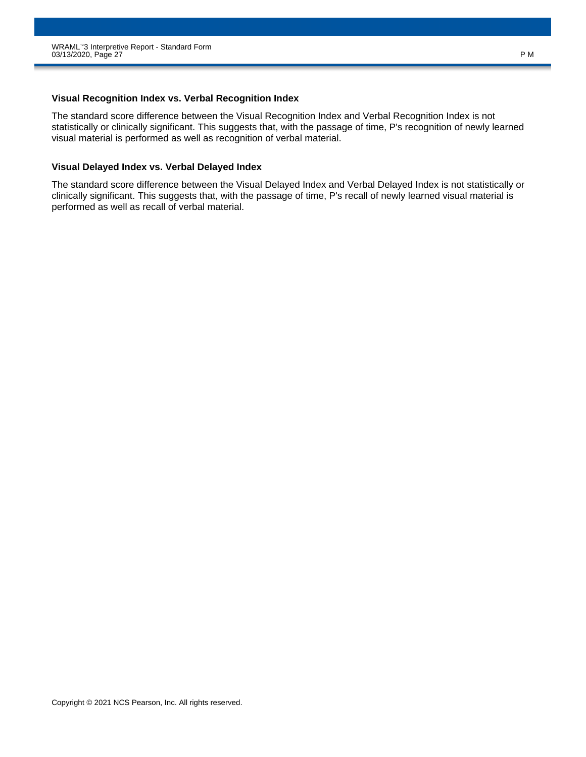#### **Visual Recognition Index vs. Verbal Recognition Index**

The standard score difference between the Visual Recognition Index and Verbal Recognition Index is not statistically or clinically significant. This suggests that, with the passage of time, P's recognition of newly learned visual material is performed as well as recognition of verbal material.

#### **Visual Delayed Index vs. Verbal Delayed Index**

The standard score difference between the Visual Delayed Index and Verbal Delayed Index is not statistically or clinically significant. This suggests that, with the passage of time, P's recall of newly learned visual material is performed as well as recall of verbal material.